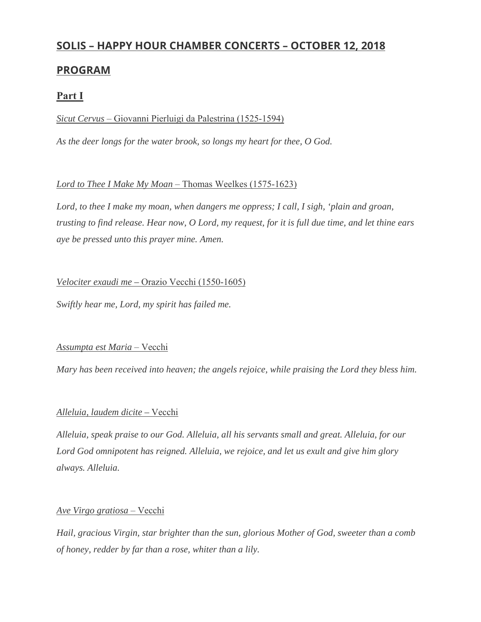# **SOLIS – HAPPY HOUR CHAMBER CONCERTS – OCTOBER 12, 2018**

## **PROGRAM**

## **Part I**

## *Sicut Cervus* – Giovanni Pierluigi da Palestrina (1525-1594)

*As the deer longs for the water brook, so longs my heart for thee, O God.*

## *Lord to Thee I Make My Moan* – Thomas Weelkes (1575-1623)

Lord, to thee I make my moan, when dangers me oppress; I call, I sigh, 'plain and groan, *trusting to find release. Hear now, O Lord, my request, for it is full due time, and let thine ears aye be pressed unto this prayer mine. Amen.*

## *Velociter exaudi me –* Orazio Vecchi (1550-1605)

*Swiftly hear me, Lord, my spirit has failed me.*

## *Assumpta est Maria* – Vecchi

*Mary has been received into heaven; the angels rejoice, while praising the Lord they bless him.*

## *Alleluia, laudem dicite –* Vecchi

*Alleluia, speak praise to our God. Alleluia, all his servants small and great. Alleluia, for our Lord God omnipotent has reigned. Alleluia, we rejoice, and let us exult and give him glory always. Alleluia.*

## *Ave Virgo gratiosa* – Vecchi

*Hail, gracious Virgin, star brighter than the sun, glorious Mother of God, sweeter than a comb of honey, redder by far than a rose, whiter than a lily.*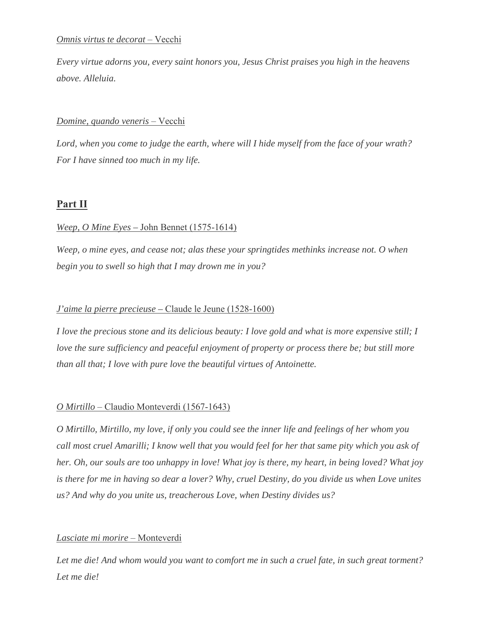#### *Omnis virtus te decorat* – Vecchi

*Every virtue adorns you, every saint honors you, Jesus Christ praises you high in the heavens above. Alleluia.*

#### *Domine, quando veneris* – Vecchi

*Lord, when you come to judge the earth, where will I hide myself from the face of your wrath? For I have sinned too much in my life.*

## **Part II**

#### *Weep, O Mine Eyes –* John Bennet (1575-1614)

*Weep, o mine eyes, and cease not; alas these your springtides methinks increase not. O when begin you to swell so high that I may drown me in you?*

#### *J'aime la pierre precieuse –* Claude le Jeune (1528-1600)

*I love the precious stone and its delicious beauty: I love gold and what is more expensive still; I love the sure sufficiency and peaceful enjoyment of property or process there be; but still more than all that; I love with pure love the beautiful virtues of Antoinette.*

#### *O Mirtillo* – Claudio Monteverdi (1567-1643)

*O Mirtillo, Mirtillo, my love, if only you could see the inner life and feelings of her whom you call most cruel Amarilli; I know well that you would feel for her that same pity which you ask of her. Oh, our souls are too unhappy in love! What joy is there, my heart, in being loved? What joy is there for me in having so dear a lover? Why, cruel Destiny, do you divide us when Love unites us? And why do you unite us, treacherous Love, when Destiny divides us?*

#### *Lasciate mi morire* – Monteverdi

*Let me die! And whom would you want to comfort me in such a cruel fate, in such great torment? Let me die!*